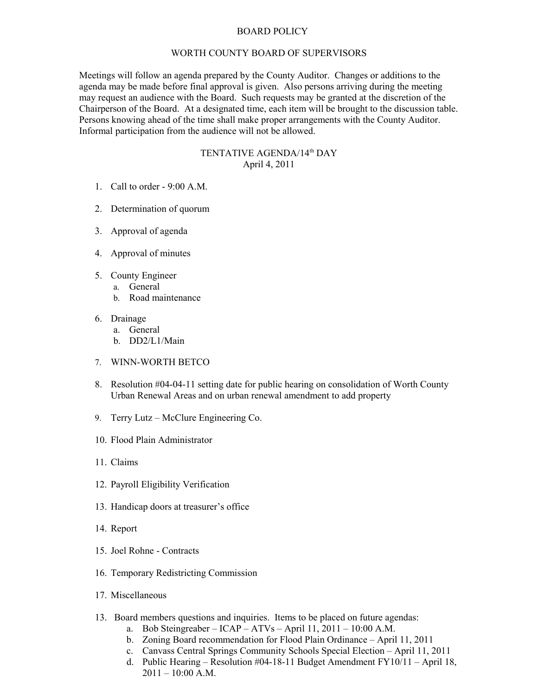## BOARD POLICY

## WORTH COUNTY BOARD OF SUPERVISORS

Meetings will follow an agenda prepared by the County Auditor. Changes or additions to the agenda may be made before final approval is given. Also persons arriving during the meeting may request an audience with the Board. Such requests may be granted at the discretion of the Chairperson of the Board. At a designated time, each item will be brought to the discussion table. Persons knowing ahead of the time shall make proper arrangements with the County Auditor. Informal participation from the audience will not be allowed.

## TENTATIVE AGENDA/14th DAY April 4, 2011

- 1. Call to order 9:00 A.M.
- 2. Determination of quorum
- 3. Approval of agenda
- 4. Approval of minutes
- 5. County Engineer
	- a. General
		- b. Road maintenance
- 6. Drainage
	- a. General
	- b. DD2/L1/Main
- 7. WINN-WORTH BETCO
- 8. Resolution #04-04-11 setting date for public hearing on consolidation of Worth County Urban Renewal Areas and on urban renewal amendment to add property
- 9. Terry Lutz McClure Engineering Co.
- 10. Flood Plain Administrator
- 11. Claims
- 12. Payroll Eligibility Verification
- 13. Handicap doors at treasurer's office
- 14. Report
- 15. Joel Rohne Contracts
- 16. Temporary Redistricting Commission
- 17. Miscellaneous
- 13. Board members questions and inquiries. Items to be placed on future agendas:
	- a. Bob Steingreaber ICAP ATVs April 11, 2011 10:00 A.M.
	- b. Zoning Board recommendation for Flood Plain Ordinance April 11, 2011
	- c. Canvass Central Springs Community Schools Special Election April 11, 2011
	- d. Public Hearing Resolution #04-18-11 Budget Amendment FY10/11 April 18,  $2011 - 10:00$  A.M.